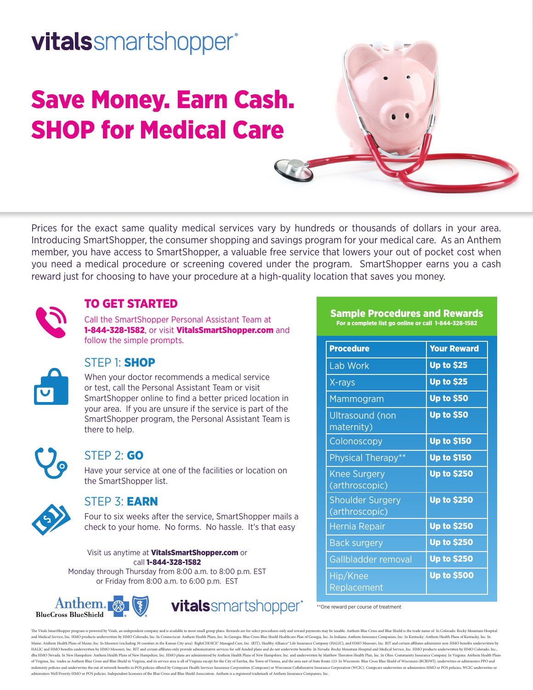# **vitals**smartshopper<sup>®</sup>

# Save Money. Earn Cash. SHOP for Medical Care

Prices for the exact same quality medical services vary by hundreds or thousands of dollars in your area. Introducing SmartShopper, the consumer shopping and savings program for your medical care. As an Anthem member, you have access to SmartShopper, a valuable free service that lowers your out of pocket cost when you need a medical procedure or screening covered under the program. SmartShopper earns you a cash reward just for choosing to have your procedure at a high-quality location that saves you money.



## TO GET STARTED

Call the SmartShopper Personal Assistant Team at 1-844-328-1582, or visit VitalsSmartShopper.com and follow the simple prompts.



## STEP 1: SHOP

When your doctor recommends a medical service or test, call the Personal Assistant Team or visit SmartShopper online to find a better priced location in your area. If you are unsure if the service is part of the SmartShopper program, the Personal Assistant Team is there to help.



### STEP 2: GO

Have your service at one of the facilities or location on the SmartShopper list.



### STEP 3: EARN

Four to six weeks after the service, SmartShopper mails a check to your home. No forms. No hassle. It's that easy

Visit us anytime at VitalsSmartShopper.com or call 1-844-328-1582 Monday through Thursday from 8:00 a.m. to 8:00 p.m. EST or Friday from 8:00 a.m. to 6:00 p.m. EST





vitalssmartshopper<sup>®</sup> \*\*One reward per course of treatment

The Vitals SmartShopper program is powered by Vitals, an independent company and is available to most small group plans. Rewards are for select procedures only and reward payments may be taxable. Anthem Blue Cross and Blue and Medical Service, Inc. HMO products underwritten by HMO Colorado, Inc. In Connecticut: Anthem Health Plans, Inc. In Georgia: Blue Cross Blue Shield Healthcare Plan of Georgia, Inc. In Indiana: Anthem Insurance Companies Maine: Anthem Health Plans of Maine, Inc. In Missouri (excluding 30 counties in the Kansas City area): RightCHOICE\* Managed Care, Inc. (RIT), Healthy Alliance\* Life Insurance Company (HALIC), and HMO Missouri, Inc. RIT and HALIC and HMO benefits underwritten by HMO Missouri, Inc. RIT and certain affiliates only provide administrative services for self-funded plans and do not underwrite benefits. In Nevada: Rocky Mountain Hospital and Medical dba HMO Nevada. In New Hampshire: Anthem Health Plans of New Hampshire, Inc. HMO plans are administered by Anthem Health Plans of New Hampshire, Inc. and underwritten by Matthew Thornton Health Plan, Inc. In Ohio: Communit of Virginia, Inc. trades as Anthem Blue Cross and Blue Shield in Virginia, and its service area is all of Virginia except for the City of Fairfax, the Town of Vienna, and the area east of State Route 123. In Wisconsin: Blu indemnity policies and underwrites the out of network benefits in POS policies offered by Compcare Health Services Insurance Corporation (Compcare) or Wisconsin Collaborative Insurance Corporation (WCIC). Compcare underwri administers Well Priority HMO or POS policies. Independent licensees of the Blue Cross and Blue Shield Association. Anthem is a registered trademark of Anthem Insurance Companies, Inc.

# Sample Procedures and Rewards

For a complete list go online or call 1-844-328-1582

| <b>Procedure</b>                          | <b>Your Reward</b> |
|-------------------------------------------|--------------------|
| Lab Work                                  | <b>Up to \$25</b>  |
| X-rays                                    | <b>Up to \$25</b>  |
| Mammogram                                 | <b>Up to \$50</b>  |
| <b>Ultrasound</b> (non<br>maternity)      | <b>Up to \$50</b>  |
| Colonoscopy                               | <b>Up to \$150</b> |
| Physical Therapy**                        | <b>Up to \$150</b> |
| <b>Knee Surgery</b><br>(arthroscopic)     | <b>Up to \$250</b> |
| <b>Shoulder Surgery</b><br>(arthroscopic) | <b>Up to \$250</b> |
| Hernia Repair                             | <b>Up to \$250</b> |
| <b>Back surgery</b>                       | <b>Up to \$250</b> |
| Gallbladder removal                       | <b>Up to \$250</b> |
| Hip/Knee<br>Replacement                   | <b>Up to \$500</b> |